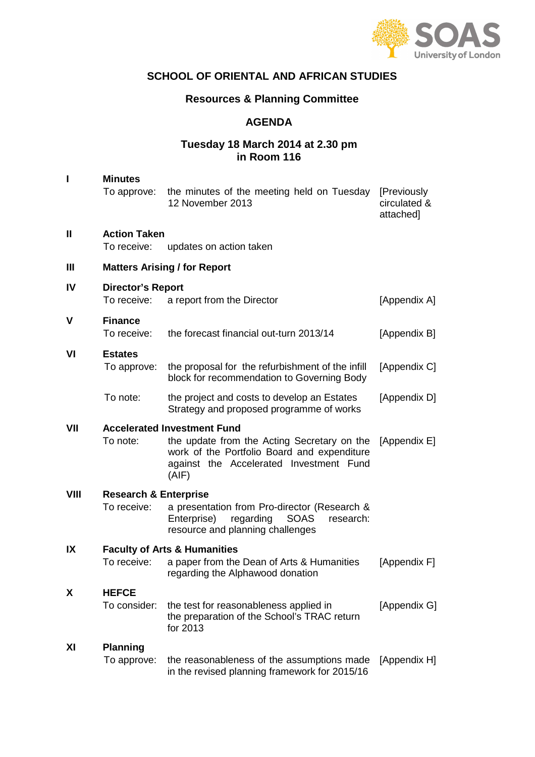

# **SCHOOL OF ORIENTAL AND AFRICAN STUDIES**

## **Resources & Planning Committee**

## **AGENDA**

## **Tuesday 18 March 2014 at 2.30 pm in Room 116**

| I    | <b>Minutes</b><br>To approve:                   | the minutes of the meeting held on Tuesday<br>12 November 2013                                                                                                                       | [Previously<br>circulated &<br>attached] |  |  |  |
|------|-------------------------------------------------|--------------------------------------------------------------------------------------------------------------------------------------------------------------------------------------|------------------------------------------|--|--|--|
| II   | <b>Action Taken</b><br>To receive:              | updates on action taken                                                                                                                                                              |                                          |  |  |  |
| Ш    | <b>Matters Arising / for Report</b>             |                                                                                                                                                                                      |                                          |  |  |  |
| IV   | <b>Director's Report</b><br>To receive:         | a report from the Director                                                                                                                                                           | [Appendix A]                             |  |  |  |
| V    | <b>Finance</b><br>To receive:                   | the forecast financial out-turn 2013/14                                                                                                                                              | [Appendix B]                             |  |  |  |
| VI   | <b>Estates</b><br>To approve:                   | the proposal for the refurbishment of the infill<br>block for recommendation to Governing Body                                                                                       | [Appendix C]                             |  |  |  |
|      | To note:                                        | the project and costs to develop an Estates<br>Strategy and proposed programme of works                                                                                              | [Appendix D]                             |  |  |  |
| VII  | To note:                                        | <b>Accelerated Investment Fund</b><br>the update from the Acting Secretary on the<br>work of the Portfolio Board and expenditure<br>against the Accelerated Investment Fund<br>(AIF) | [Appendix E]                             |  |  |  |
| VIII | <b>Research &amp; Enterprise</b><br>To receive: | a presentation from Pro-director (Research &<br><b>SOAS</b><br>Enterprise)<br>regarding<br>research:<br>resource and planning challenges                                             |                                          |  |  |  |
| IX   | To receive:                                     | <b>Faculty of Arts &amp; Humanities</b><br>a paper from the Dean of Arts & Humanities<br>regarding the Alphawood donation                                                            | [Appendix F]                             |  |  |  |
| χ    | <b>HEFCE</b><br>To consider:                    | the test for reasonableness applied in<br>the preparation of the School's TRAC return<br>for 2013                                                                                    | [Appendix G]                             |  |  |  |
| ΧI   | <b>Planning</b><br>To approve:                  | the reasonableness of the assumptions made<br>in the revised planning framework for 2015/16                                                                                          | [Appendix H]                             |  |  |  |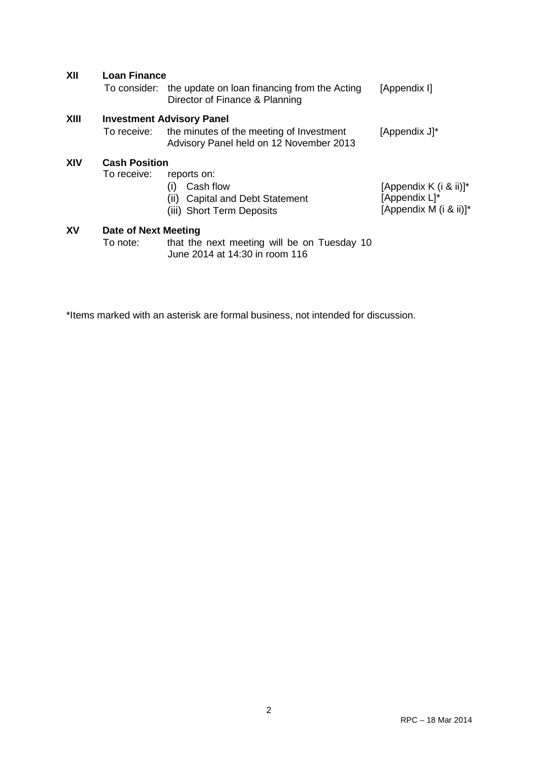| XII         | <b>Loan Finance</b><br>To consider: | the update on loan financing from the Acting<br>Director of Finance & Planning                                          | [Appendix I]                                                      |
|-------------|-------------------------------------|-------------------------------------------------------------------------------------------------------------------------|-------------------------------------------------------------------|
| <b>XIII</b> | To receive:                         | <b>Investment Advisory Panel</b><br>the minutes of the meeting of Investment<br>Advisory Panel held on 12 November 2013 | [Appendix J]*                                                     |
| XIV         | <b>Cash Position</b><br>To receive: | reports on:<br>Cash flow<br>(1)<br><b>Capital and Debt Statement</b><br>(11)<br>(iii) Short Term Deposits               | [Appendix K (i & ii)]*<br>[Appendix L]*<br>[Appendix M (i & ii)]* |
| XV          | Date of Next Meeting<br>To note:    | that the next meeting will be on Tuesday 10<br>June 2014 at 14:30 in room 116                                           |                                                                   |

\*Items marked with an asterisk are formal business, not intended for discussion.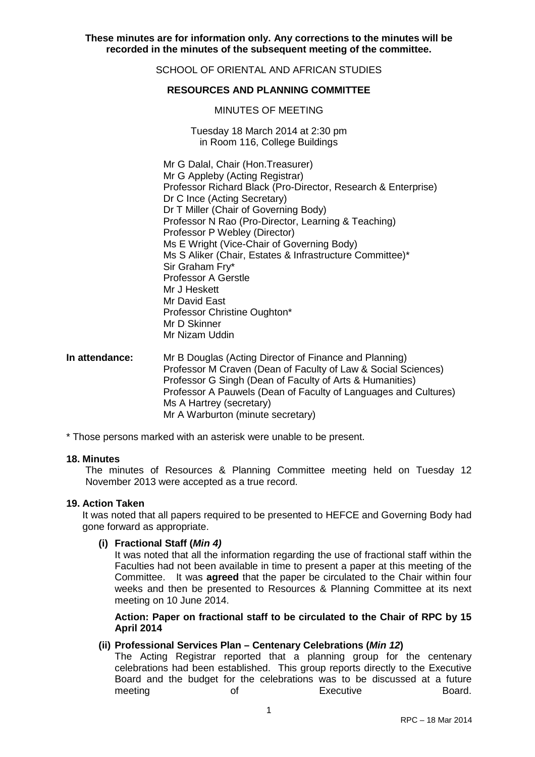**These minutes are for information only. Any corrections to the minutes will be recorded in the minutes of the subsequent meeting of the committee.**

SCHOOL OF ORIENTAL AND AFRICAN STUDIES

### **RESOURCES AND PLANNING COMMITTEE**

#### MINUTES OF MEETING

Tuesday 18 March 2014 at 2:30 pm in Room 116, College Buildings

Mr G Dalal, Chair (Hon.Treasurer) Mr G Appleby (Acting Registrar) Professor Richard Black (Pro-Director, Research & Enterprise) Dr C Ince (Acting Secretary) Dr T Miller (Chair of Governing Body) Professor N Rao (Pro-Director, Learning & Teaching) Professor P Webley (Director) Ms E Wright (Vice-Chair of Governing Body) Ms S Aliker (Chair, Estates & Infrastructure Committee)\* Sir Graham Fry\* Professor A Gerstle Mr J Heskett Mr David East Professor Christine Oughton\* Mr D Skinner Mr Nizam Uddin

**In attendance:** Mr B Douglas (Acting Director of Finance and Planning) Professor M Craven (Dean of Faculty of Law & Social Sciences) Professor G Singh (Dean of Faculty of Arts & Humanities) Professor A Pauwels (Dean of Faculty of Languages and Cultures) Ms A Hartrey (secretary) Mr A Warburton (minute secretary)

\* Those persons marked with an asterisk were unable to be present.

#### **18. Minutes**

The minutes of Resources & Planning Committee meeting held on Tuesday 12 November 2013 were accepted as a true record.

#### **19. Action Taken**

It was noted that all papers required to be presented to HEFCE and Governing Body had gone forward as appropriate.

#### **(i) Fractional Staff (Min 4)**

It was noted that all the information regarding the use of fractional staff within the Faculties had not been available in time to present a paper at this meeting of the Committee. It was **agreed** that the paper be circulated to the Chair within four weeks and then be presented to Resources & Planning Committee at its next meeting on 10 June 2014.

**Action: Paper on fractional staff to be circulated to the Chair of RPC by 15 April 2014** 

### **(ii) Professional Services Plan – Centenary Celebrations (Min 12)**

The Acting Registrar reported that a planning group for the centenary celebrations had been established. This group reports directly to the Executive Board and the budget for the celebrations was to be discussed at a future meeting of **Executive** Board.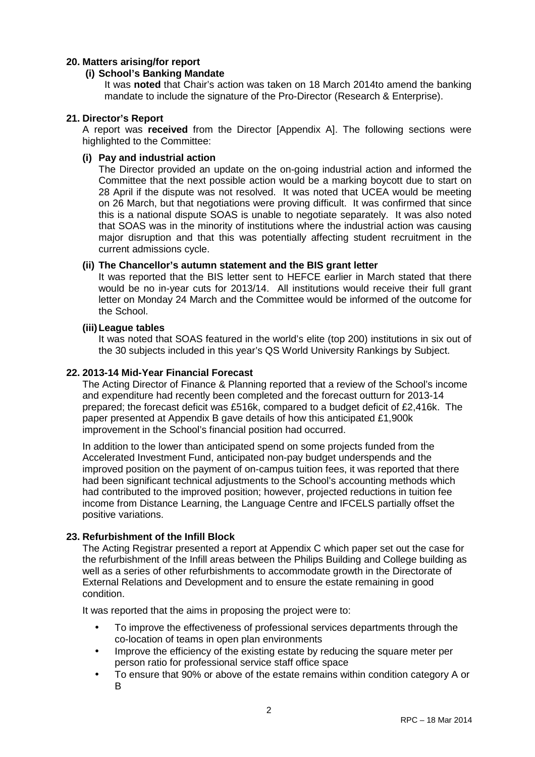## **20. Matters arising/for report**

## **(i) School's Banking Mandate**

It was **noted** that Chair's action was taken on 18 March 2014to amend the banking mandate to include the signature of the Pro-Director (Research & Enterprise).

## **21. Director's Report**

A report was **received** from the Director [Appendix A]. The following sections were highlighted to the Committee:

### **(i) Pay and industrial action**

The Director provided an update on the on-going industrial action and informed the Committee that the next possible action would be a marking boycott due to start on 28 April if the dispute was not resolved. It was noted that UCEA would be meeting on 26 March, but that negotiations were proving difficult. It was confirmed that since this is a national dispute SOAS is unable to negotiate separately. It was also noted that SOAS was in the minority of institutions where the industrial action was causing major disruption and that this was potentially affecting student recruitment in the current admissions cycle.

### **(ii) The Chancellor's autumn statement and the BIS grant letter**

It was reported that the BIS letter sent to HEFCE earlier in March stated that there would be no in-year cuts for 2013/14. All institutions would receive their full grant letter on Monday 24 March and the Committee would be informed of the outcome for the School.

### **(iii) League tables**

It was noted that SOAS featured in the world's elite (top 200) institutions in six out of the 30 subjects included in this year's QS World University Rankings by Subject.

## **22. 2013-14 Mid-Year Financial Forecast**

The Acting Director of Finance & Planning reported that a review of the School's income and expenditure had recently been completed and the forecast outturn for 2013-14 prepared; the forecast deficit was £516k, compared to a budget deficit of £2,416k. The paper presented at Appendix B gave details of how this anticipated £1,900k improvement in the School's financial position had occurred.

In addition to the lower than anticipated spend on some projects funded from the Accelerated Investment Fund, anticipated non-pay budget underspends and the improved position on the payment of on-campus tuition fees, it was reported that there had been significant technical adjustments to the School's accounting methods which had contributed to the improved position; however, projected reductions in tuition fee income from Distance Learning, the Language Centre and IFCELS partially offset the positive variations.

## **23. Refurbishment of the Infill Block**

The Acting Registrar presented a report at Appendix C which paper set out the case for the refurbishment of the Infill areas between the Philips Building and College building as well as a series of other refurbishments to accommodate growth in the Directorate of External Relations and Development and to ensure the estate remaining in good condition.

It was reported that the aims in proposing the project were to:

- To improve the effectiveness of professional services departments through the co-location of teams in open plan environments
- Improve the efficiency of the existing estate by reducing the square meter per person ratio for professional service staff office space
- To ensure that 90% or above of the estate remains within condition category A or B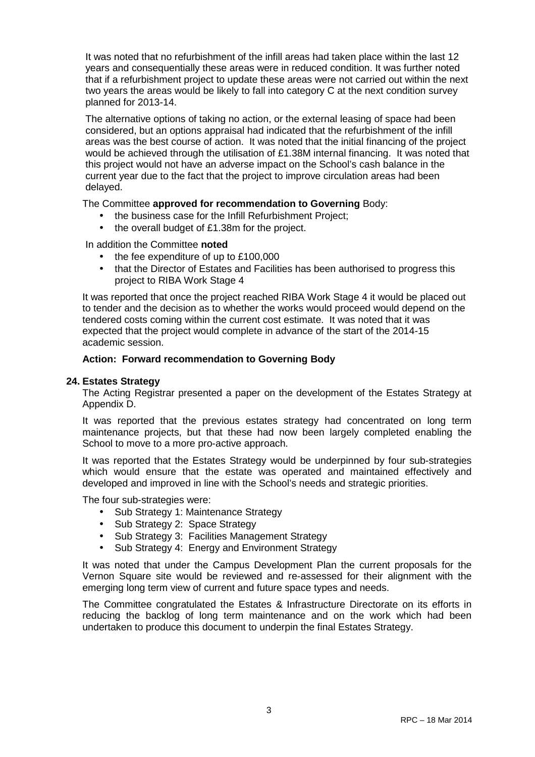It was noted that no refurbishment of the infill areas had taken place within the last 12 years and consequentially these areas were in reduced condition. It was further noted that if a refurbishment project to update these areas were not carried out within the next two years the areas would be likely to fall into category C at the next condition survey planned for 2013-14.

The alternative options of taking no action, or the external leasing of space had been considered, but an options appraisal had indicated that the refurbishment of the infill areas was the best course of action. It was noted that the initial financing of the project would be achieved through the utilisation of £1.38M internal financing. It was noted that this project would not have an adverse impact on the School's cash balance in the current year due to the fact that the project to improve circulation areas had been delayed.

## The Committee **approved for recommendation to Governing** Body:

- the business case for the Infill Refurbishment Project;
- the overall budget of £1.38m for the project.

### In addition the Committee **noted**

- the fee expenditure of up to £100,000
- that the Director of Estates and Facilities has been authorised to progress this project to RIBA Work Stage 4

It was reported that once the project reached RIBA Work Stage 4 it would be placed out to tender and the decision as to whether the works would proceed would depend on the tendered costs coming within the current cost estimate. It was noted that it was expected that the project would complete in advance of the start of the 2014-15 academic session.

### **Action: Forward recommendation to Governing Body**

#### **24. Estates Strategy**

The Acting Registrar presented a paper on the development of the Estates Strategy at Appendix D.

It was reported that the previous estates strategy had concentrated on long term maintenance projects, but that these had now been largely completed enabling the School to move to a more pro-active approach.

It was reported that the Estates Strategy would be underpinned by four sub-strategies which would ensure that the estate was operated and maintained effectively and developed and improved in line with the School's needs and strategic priorities.

The four sub-strategies were:

- Sub Strategy 1: Maintenance Strategy
- Sub Strategy 2: Space Strategy
- Sub Strategy 3: Facilities Management Strategy
- Sub Strategy 4: Energy and Environment Strategy

It was noted that under the Campus Development Plan the current proposals for the Vernon Square site would be reviewed and re-assessed for their alignment with the emerging long term view of current and future space types and needs.

The Committee congratulated the Estates & Infrastructure Directorate on its efforts in reducing the backlog of long term maintenance and on the work which had been undertaken to produce this document to underpin the final Estates Strategy.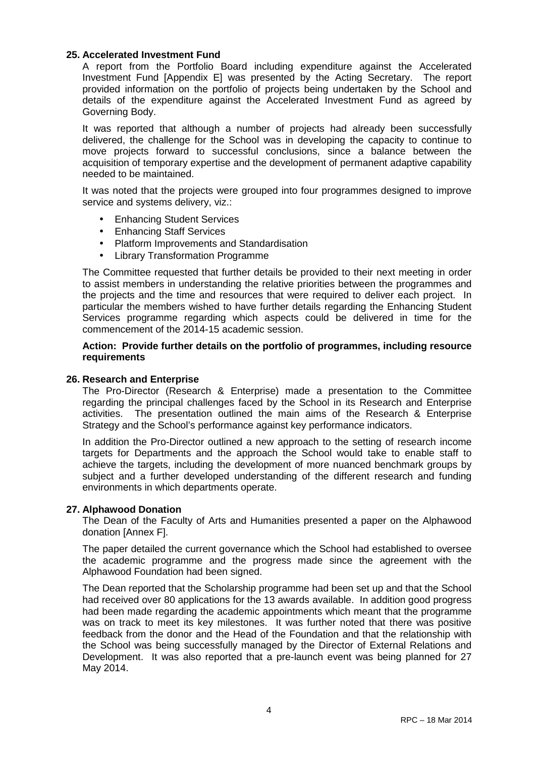### **25. Accelerated Investment Fund**

A report from the Portfolio Board including expenditure against the Accelerated Investment Fund [Appendix E] was presented by the Acting Secretary. The report provided information on the portfolio of projects being undertaken by the School and details of the expenditure against the Accelerated Investment Fund as agreed by Governing Body.

It was reported that although a number of projects had already been successfully delivered, the challenge for the School was in developing the capacity to continue to move projects forward to successful conclusions, since a balance between the acquisition of temporary expertise and the development of permanent adaptive capability needed to be maintained.

It was noted that the projects were grouped into four programmes designed to improve service and systems delivery, viz.:

- Enhancing Student Services
- Enhancing Staff Services
- Platform Improvements and Standardisation
- **Library Transformation Programme**

The Committee requested that further details be provided to their next meeting in order to assist members in understanding the relative priorities between the programmes and the projects and the time and resources that were required to deliver each project. In particular the members wished to have further details regarding the Enhancing Student Services programme regarding which aspects could be delivered in time for the commencement of the 2014-15 academic session.

#### **Action: Provide further details on the portfolio of programmes, including resource requirements**

#### **26. Research and Enterprise**

The Pro-Director (Research & Enterprise) made a presentation to the Committee regarding the principal challenges faced by the School in its Research and Enterprise activities. The presentation outlined the main aims of the Research & Enterprise Strategy and the School's performance against key performance indicators.

In addition the Pro-Director outlined a new approach to the setting of research income targets for Departments and the approach the School would take to enable staff to achieve the targets, including the development of more nuanced benchmark groups by subject and a further developed understanding of the different research and funding environments in which departments operate.

#### **27. Alphawood Donation**

The Dean of the Faculty of Arts and Humanities presented a paper on the Alphawood donation [Annex F].

The paper detailed the current governance which the School had established to oversee the academic programme and the progress made since the agreement with the Alphawood Foundation had been signed.

The Dean reported that the Scholarship programme had been set up and that the School had received over 80 applications for the 13 awards available. In addition good progress had been made regarding the academic appointments which meant that the programme was on track to meet its key milestones. It was further noted that there was positive feedback from the donor and the Head of the Foundation and that the relationship with the School was being successfully managed by the Director of External Relations and Development. It was also reported that a pre-launch event was being planned for 27 May 2014.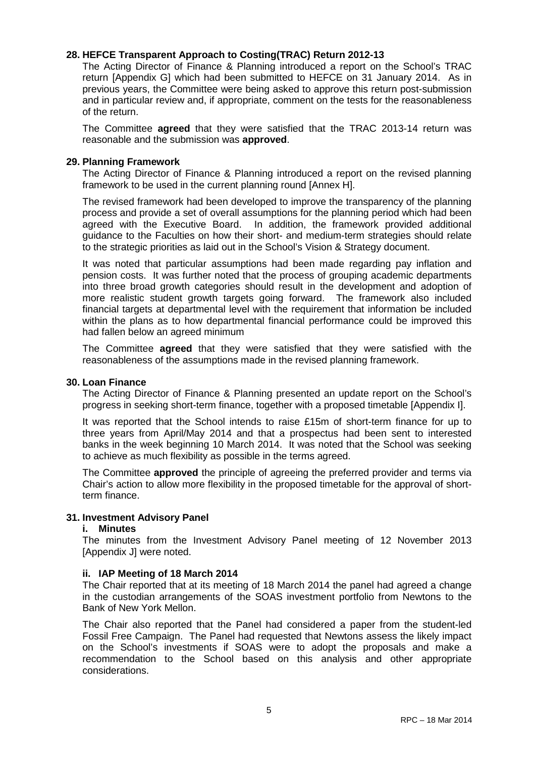## **28. HEFCE Transparent Approach to Costing(TRAC) Return 2012-13**

The Acting Director of Finance & Planning introduced a report on the School's TRAC return [Appendix G] which had been submitted to HEFCE on 31 January 2014. As in previous years, the Committee were being asked to approve this return post-submission and in particular review and, if appropriate, comment on the tests for the reasonableness of the return.

The Committee **agreed** that they were satisfied that the TRAC 2013-14 return was reasonable and the submission was **approved**.

#### **29. Planning Framework**

The Acting Director of Finance & Planning introduced a report on the revised planning framework to be used in the current planning round [Annex H].

The revised framework had been developed to improve the transparency of the planning process and provide a set of overall assumptions for the planning period which had been agreed with the Executive Board. In addition, the framework provided additional guidance to the Faculties on how their short- and medium-term strategies should relate to the strategic priorities as laid out in the School's Vision & Strategy document.

It was noted that particular assumptions had been made regarding pay inflation and pension costs. It was further noted that the process of grouping academic departments into three broad growth categories should result in the development and adoption of more realistic student growth targets going forward. The framework also included financial targets at departmental level with the requirement that information be included within the plans as to how departmental financial performance could be improved this had fallen below an agreed minimum

The Committee **agreed** that they were satisfied that they were satisfied with the reasonableness of the assumptions made in the revised planning framework.

#### **30. Loan Finance**

The Acting Director of Finance & Planning presented an update report on the School's progress in seeking short-term finance, together with a proposed timetable [Appendix I].

It was reported that the School intends to raise £15m of short-term finance for up to three years from April/May 2014 and that a prospectus had been sent to interested banks in the week beginning 10 March 2014. It was noted that the School was seeking to achieve as much flexibility as possible in the terms agreed.

The Committee **approved** the principle of agreeing the preferred provider and terms via Chair's action to allow more flexibility in the proposed timetable for the approval of shortterm finance.

#### **31. Investment Advisory Panel**

#### **i. Minutes**

The minutes from the Investment Advisory Panel meeting of 12 November 2013 [Appendix J] were noted.

#### **ii. IAP Meeting of 18 March 2014**

The Chair reported that at its meeting of 18 March 2014 the panel had agreed a change in the custodian arrangements of the SOAS investment portfolio from Newtons to the Bank of New York Mellon.

The Chair also reported that the Panel had considered a paper from the student-led Fossil Free Campaign. The Panel had requested that Newtons assess the likely impact on the School's investments if SOAS were to adopt the proposals and make a recommendation to the School based on this analysis and other appropriate considerations.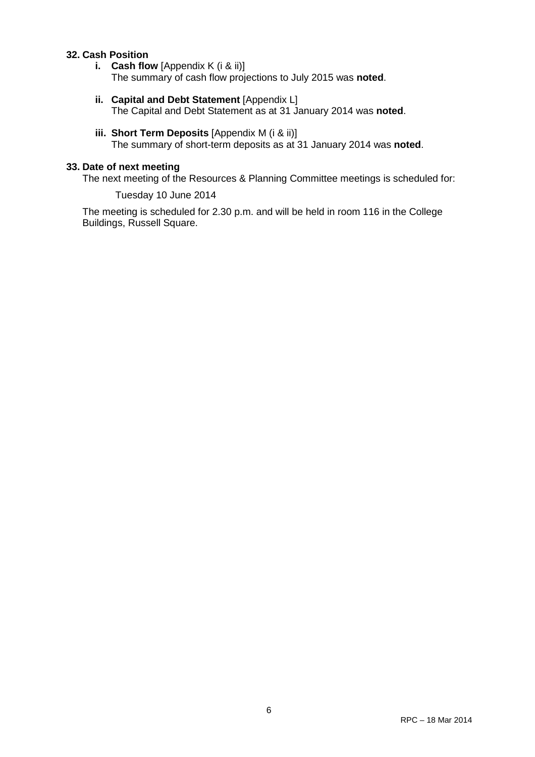## **32. Cash Position**

- **i. Cash flow** [Appendix K (i & ii)] The summary of cash flow projections to July 2015 was **noted**.
- **ii.** Capital and Debt Statement [Appendix L] The Capital and Debt Statement as at 31 January 2014 was **noted**.
- **iii. Short Term Deposits** [Appendix M (i & ii)] The summary of short-term deposits as at 31 January 2014 was **noted**.

## **33. Date of next meeting**

The next meeting of the Resources & Planning Committee meetings is scheduled for:

Tuesday 10 June 2014

The meeting is scheduled for 2.30 p.m. and will be held in room 116 in the College Buildings, Russell Square.